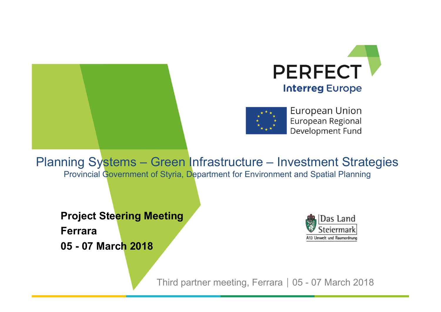





Provincial Government of Styria, Department for Environment and Spatial Planning **Since Market Strategies**<br>
Third partner for Environment and Spatial Planning<br> **Partner Market Strategies**<br> **Partner Market Discrements**<br>
Third partner meeting, Ferrara | 05 - 07 March 2018

**Project Steering Meeting** Ferrara

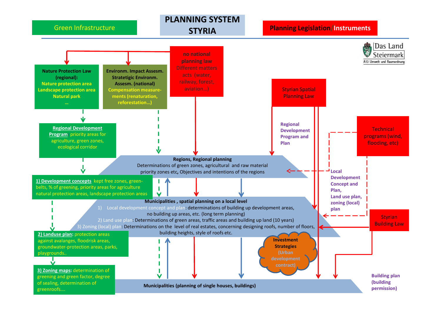